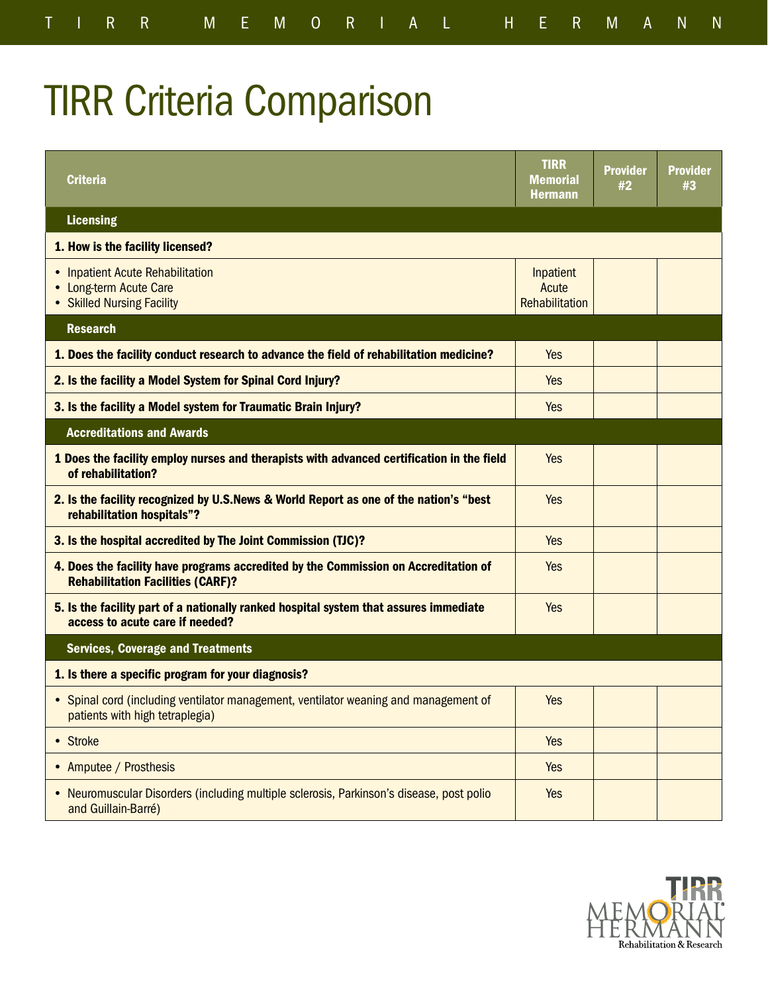## TIRR Criteria Comparison

| <b>Criteria</b>                                                                                                                 | <b>TIRR</b><br><b>Memorial</b><br><b>Hermann</b> | <b>Provider</b><br>#2 | <b>Provider</b><br>#3 |
|---------------------------------------------------------------------------------------------------------------------------------|--------------------------------------------------|-----------------------|-----------------------|
| <b>Licensing</b>                                                                                                                |                                                  |                       |                       |
| 1. How is the facility licensed?                                                                                                |                                                  |                       |                       |
| • Inpatient Acute Rehabilitation<br>• Long-term Acute Care<br>• Skilled Nursing Facility                                        | Inpatient<br>Acute<br>Rehabilitation             |                       |                       |
| <b>Research</b>                                                                                                                 |                                                  |                       |                       |
| 1. Does the facility conduct research to advance the field of rehabilitation medicine?                                          | Yes                                              |                       |                       |
| 2. Is the facility a Model System for Spinal Cord Injury?                                                                       | Yes                                              |                       |                       |
| 3. Is the facility a Model system for Traumatic Brain Injury?                                                                   | Yes                                              |                       |                       |
| <b>Accreditations and Awards</b>                                                                                                |                                                  |                       |                       |
| 1 Does the facility employ nurses and therapists with advanced certification in the field<br>of rehabilitation?                 | Yes                                              |                       |                       |
| 2. Is the facility recognized by U.S.News & World Report as one of the nation's "best<br>rehabilitation hospitals"?             | <b>Yes</b>                                       |                       |                       |
| 3. Is the hospital accredited by The Joint Commission (TJC)?                                                                    | Yes                                              |                       |                       |
| 4. Does the facility have programs accredited by the Commission on Accreditation of<br><b>Rehabilitation Facilities (CARF)?</b> | Yes                                              |                       |                       |
| 5. Is the facility part of a nationally ranked hospital system that assures immediate<br>access to acute care if needed?        | Yes                                              |                       |                       |
| <b>Services, Coverage and Treatments</b>                                                                                        |                                                  |                       |                       |
| 1. Is there a specific program for your diagnosis?                                                                              |                                                  |                       |                       |
| • Spinal cord (including ventilator management, ventilator weaning and management of<br>patients with high tetraplegia)         | Yes                                              |                       |                       |
| • Stroke                                                                                                                        | Yes                                              |                       |                       |
| • Amputee / Prosthesis                                                                                                          | Yes                                              |                       |                       |
| Neuromuscular Disorders (including multiple sclerosis, Parkinson's disease, post polio<br>and Guillain-Barré)                   | Yes                                              |                       |                       |

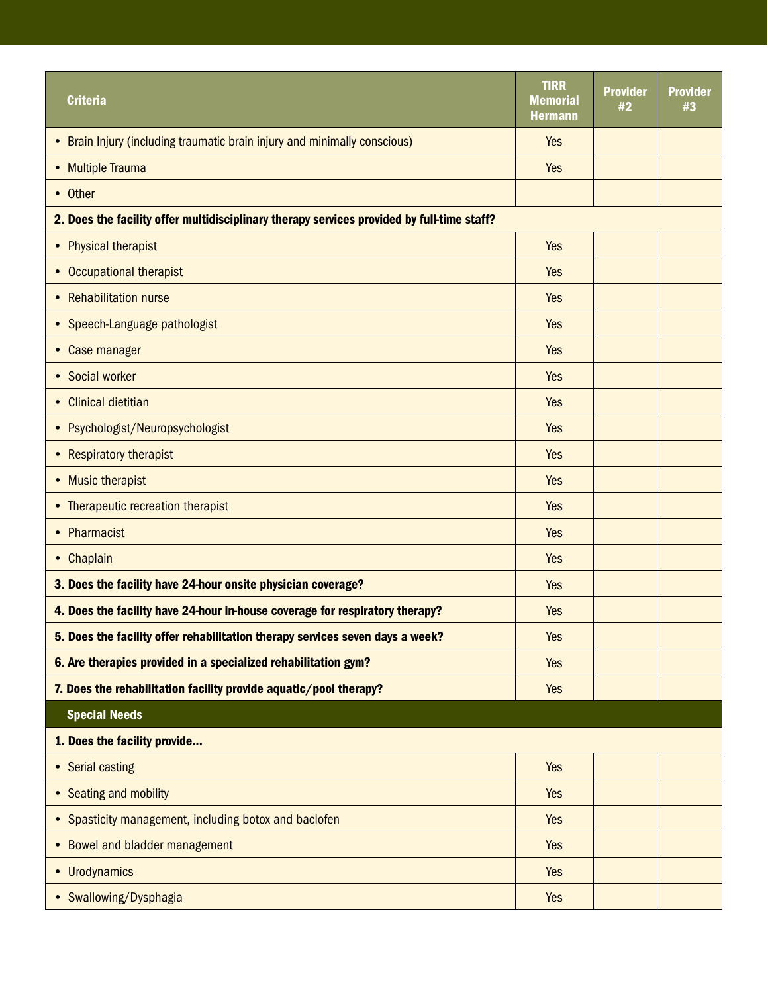|                                                                                            | <b>TIRR</b>                |                       |                       |
|--------------------------------------------------------------------------------------------|----------------------------|-----------------------|-----------------------|
| <b>Criteria</b>                                                                            | Memorial<br><b>Hermann</b> | <b>Provider</b><br>#2 | <b>Provider</b><br>#3 |
| • Brain Injury (including traumatic brain injury and minimally conscious)                  | Yes                        |                       |                       |
|                                                                                            |                            |                       |                       |
| • Multiple Trauma                                                                          | Yes                        |                       |                       |
| • Other                                                                                    |                            |                       |                       |
| 2. Does the facility offer multidisciplinary therapy services provided by full-time staff? |                            |                       |                       |
| • Physical therapist                                                                       | Yes                        |                       |                       |
| • Occupational therapist                                                                   | <b>Yes</b>                 |                       |                       |
| • Rehabilitation nurse                                                                     | <b>Yes</b>                 |                       |                       |
| • Speech-Language pathologist                                                              | Yes                        |                       |                       |
| • Case manager                                                                             | <b>Yes</b>                 |                       |                       |
| • Social worker                                                                            | <b>Yes</b>                 |                       |                       |
| • Clinical dietitian                                                                       | Yes                        |                       |                       |
| • Psychologist/Neuropsychologist                                                           | Yes                        |                       |                       |
| • Respiratory therapist                                                                    | <b>Yes</b>                 |                       |                       |
| • Music therapist                                                                          | Yes                        |                       |                       |
| • Therapeutic recreation therapist                                                         | Yes                        |                       |                       |
| • Pharmacist                                                                               | Yes                        |                       |                       |
| • Chaplain                                                                                 | Yes                        |                       |                       |
| 3. Does the facility have 24-hour onsite physician coverage?                               | Yes                        |                       |                       |
| 4. Does the facility have 24-hour in-house coverage for respiratory therapy?               | Yes                        |                       |                       |
| 5. Does the facility offer rehabilitation therapy services seven days a week?              | <b>Yes</b>                 |                       |                       |
| 6. Are therapies provided in a specialized rehabilitation gym?                             | <b>Yes</b>                 |                       |                       |
| 7. Does the rehabilitation facility provide aquatic/pool therapy?                          | <b>Yes</b>                 |                       |                       |
| <b>Special Needs</b>                                                                       |                            |                       |                       |
| 1. Does the facility provide                                                               |                            |                       |                       |
| • Serial casting                                                                           | <b>Yes</b>                 |                       |                       |
| • Seating and mobility                                                                     | <b>Yes</b>                 |                       |                       |
| • Spasticity management, including botox and baclofen                                      | <b>Yes</b>                 |                       |                       |
| • Bowel and bladder management                                                             | Yes                        |                       |                       |
| • Urodynamics                                                                              | <b>Yes</b>                 |                       |                       |
| • Swallowing/Dysphagia                                                                     | Yes                        |                       |                       |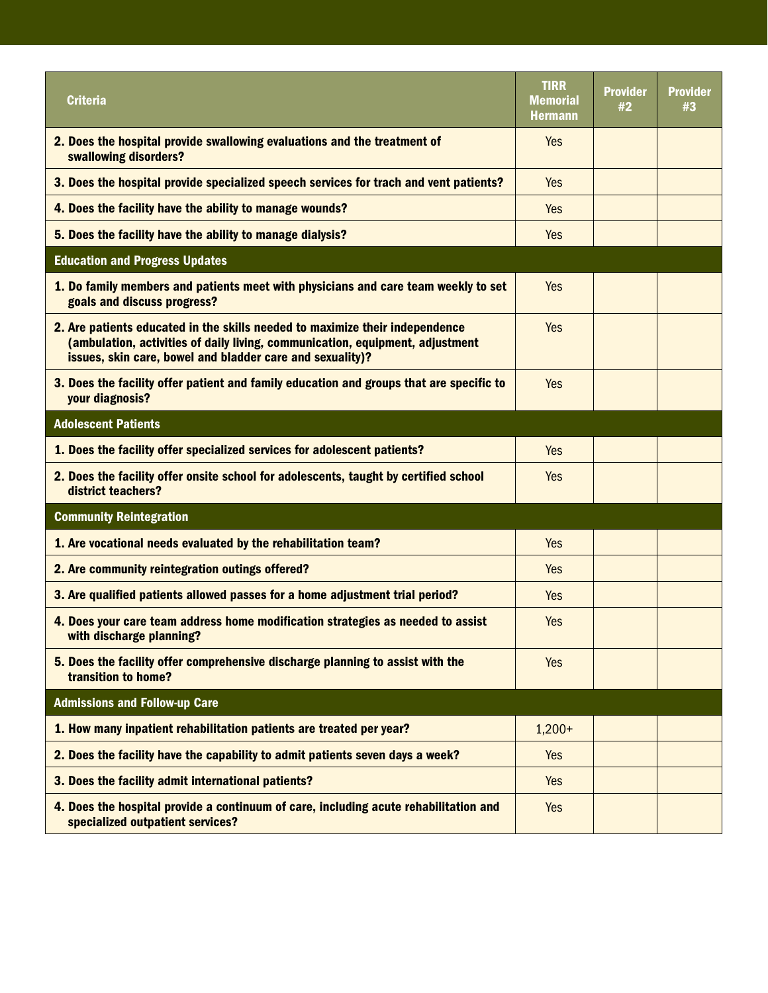| <b>Criteria</b>                                                                                                                                                                                                            | <b>TIRR</b><br><b>Memorial</b><br><b>Hermann</b> | <b>Provider</b><br>#2 | <b>Provider</b><br>#3 |
|----------------------------------------------------------------------------------------------------------------------------------------------------------------------------------------------------------------------------|--------------------------------------------------|-----------------------|-----------------------|
| 2. Does the hospital provide swallowing evaluations and the treatment of<br>swallowing disorders?                                                                                                                          | <b>Yes</b>                                       |                       |                       |
| 3. Does the hospital provide specialized speech services for trach and vent patients?                                                                                                                                      | Yes                                              |                       |                       |
| 4. Does the facility have the ability to manage wounds?                                                                                                                                                                    | <b>Yes</b>                                       |                       |                       |
| 5. Does the facility have the ability to manage dialysis?                                                                                                                                                                  | <b>Yes</b>                                       |                       |                       |
| <b>Education and Progress Updates</b>                                                                                                                                                                                      |                                                  |                       |                       |
| 1. Do family members and patients meet with physicians and care team weekly to set<br>goals and discuss progress?                                                                                                          | Yes                                              |                       |                       |
| 2. Are patients educated in the skills needed to maximize their independence<br>(ambulation, activities of daily living, communication, equipment, adjustment<br>issues, skin care, bowel and bladder care and sexuality)? | <b>Yes</b>                                       |                       |                       |
| 3. Does the facility offer patient and family education and groups that are specific to<br>your diagnosis?                                                                                                                 | Yes                                              |                       |                       |
| <b>Adolescent Patients</b>                                                                                                                                                                                                 |                                                  |                       |                       |
| 1. Does the facility offer specialized services for adolescent patients?                                                                                                                                                   | <b>Yes</b>                                       |                       |                       |
| 2. Does the facility offer onsite school for adolescents, taught by certified school<br>district teachers?                                                                                                                 | <b>Yes</b>                                       |                       |                       |
| <b>Community Reintegration</b>                                                                                                                                                                                             |                                                  |                       |                       |
| 1. Are vocational needs evaluated by the rehabilitation team?                                                                                                                                                              | <b>Yes</b>                                       |                       |                       |
| 2. Are community reintegration outings offered?                                                                                                                                                                            | <b>Yes</b>                                       |                       |                       |
| 3. Are qualified patients allowed passes for a home adjustment trial period?                                                                                                                                               | Yes                                              |                       |                       |
| 4. Does your care team address home modification strategies as needed to assist<br>with discharge planning?                                                                                                                | <b>Yes</b>                                       |                       |                       |
| 5. Does the facility offer comprehensive discharge planning to assist with the<br>transition to home?                                                                                                                      | <b>Yes</b>                                       |                       |                       |
| <b>Admissions and Follow-up Care</b>                                                                                                                                                                                       |                                                  |                       |                       |
| 1. How many inpatient rehabilitation patients are treated per year?                                                                                                                                                        | $1,200+$                                         |                       |                       |
| 2. Does the facility have the capability to admit patients seven days a week?                                                                                                                                              | <b>Yes</b>                                       |                       |                       |
| 3. Does the facility admit international patients?                                                                                                                                                                         | Yes                                              |                       |                       |
| 4. Does the hospital provide a continuum of care, including acute rehabilitation and<br>specialized outpatient services?                                                                                                   | <b>Yes</b>                                       |                       |                       |